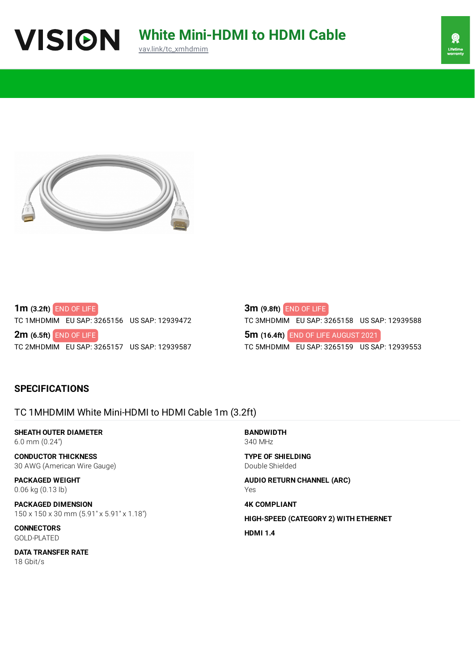





**1m (3.2ft)** END OF LIFE TC 1MHDMIM EU SAP: 3265156 US SAP: 12939472

**2m (6.5ft)** END OF LIFE TC 2MHDMIM EU SAP: 3265157 US SAP: 12939587

**3m (9.8ft)** END OF LIFE TC 3MHDMIM EU SAP: 3265158 US SAP: 12939588 **5m (16.4ft)** END OF LIFE AUGUST 2021TC 5MHDMIM EU SAP: 3265159 US SAP: 12939553

## **SPECIFICATIONS**

## TC 1MHDMIM White Mini-HDMI to HDMI Cable 1m (3.2ft)

**SHEATH OUTER DIAMETER** 6.0 mm (0.24")

**CONDUCTOR THICKNESS** 30 AWG (American Wire Gauge)

**PACKAGED WEIGHT** 0.06 kg (0.13 lb)

**PACKAGED DIMENSION** 150 x 150 x 30 mm (5.91" x 5.91" x 1.18")

**CONNECTORS** GOLD-PLATED

**DATA TRANSFER RATE** 18 Gbit/s

**BANDWIDTH** 340 MHz

**TYPE OF SHIELDING** Double Shielded

**AUDIO RETURN CHANNEL (ARC)** Yes

**4K COMPLIANT**

**HIGH-SPEED (CATEGORY 2) WITH ETHERNET**

**HDMI 1.4**